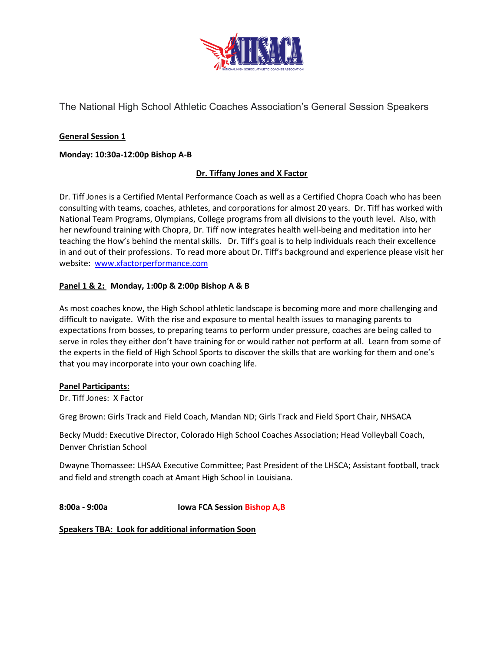

The National High School Athletic Coaches Association's General Session Speakers

### **General Session 1**

### **Monday: 10:30a-12:00p Bishop A-B**

### **Dr. Tiffany Jones and X Factor**

Dr. Tiff Jones is a Certified Mental Performance Coach as well as a Certified Chopra Coach who has been consulting with teams, coaches, athletes, and corporations for almost 20 years. Dr. Tiff has worked with National Team Programs, Olympians, College programs from all divisions to the youth level. Also, with her newfound training with Chopra, Dr. Tiff now integrates health well-being and meditation into her teaching the How's behind the mental skills. Dr. Tiff's goal is to help individuals reach their excellence in and out of their professions. To read more about Dr. Tiff's background and experience please visit her website: [www.xfactorperformance.com](http://www.xfactorperformance.com/)

### **Panel 1 & 2: Monday, 1:00p & 2:00p Bishop A & B**

As most coaches know, the High School athletic landscape is becoming more and more challenging and difficult to navigate. With the rise and exposure to mental health issues to managing parents to expectations from bosses, to preparing teams to perform under pressure, coaches are being called to serve in roles they either don't have training for or would rather not perform at all. Learn from some of the experts in the field of High School Sports to discover the skills that are working for them and one's that you may incorporate into your own coaching life.

#### **Panel Participants:**

Dr. Tiff Jones: X Factor

Greg Brown: Girls Track and Field Coach, Mandan ND; Girls Track and Field Sport Chair, NHSACA

Becky Mudd: Executive Director, Colorado High School Coaches Association; Head Volleyball Coach, Denver Christian School

Dwayne Thomassee: LHSAA Executive Committee; Past President of the LHSCA; Assistant football, track and field and strength coach at Amant High School in Louisiana.

**8:00a - 9:00a Iowa FCA Session Bishop A,B**

**Speakers TBA: Look for additional information Soon**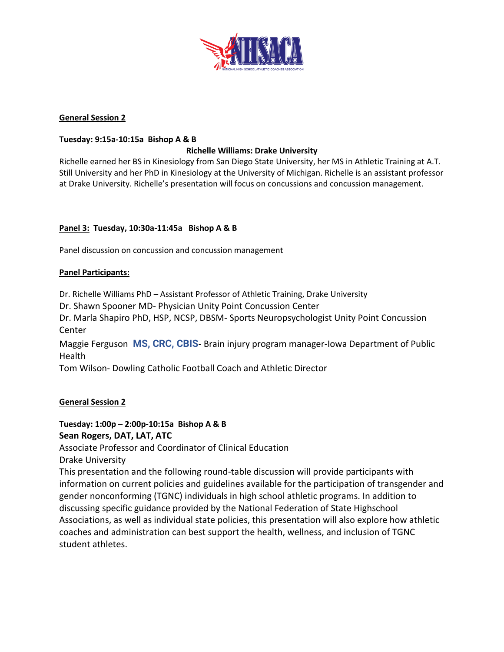

### **General Session 2**

### **Tuesday: 9:15a-10:15a Bishop A & B**

### **Richelle Williams: Drake University**

Richelle earned her BS in Kinesiology from San Diego State University, her MS in Athletic Training at A.T. Still University and her PhD in Kinesiology at the University of Michigan. Richelle is an assistant professor at Drake University. Richelle's presentation will focus on concussions and concussion management.

### **Panel 3: Tuesday, 10:30a-11:45a Bishop A & B**

Panel discussion on concussion and concussion management

#### **Panel Participants:**

Dr. Richelle Williams PhD – Assistant Professor of Athletic Training, Drake University

Dr. Shawn Spooner MD- Physician Unity Point Concussion Center

Dr. Marla Shapiro PhD, HSP, NCSP, DBSM- Sports Neuropsychologist Unity Point Concussion Center

Maggie Ferguson **MS, CRC, CBIS**- Brain injury program manager-Iowa Department of Public Health

Tom Wilson- Dowling Catholic Football Coach and Athletic Director

### **General Session 2**

**Tuesday: 1:00p – 2:00p-10:15a Bishop A & B Sean Rogers, DAT, LAT, ATC**

Associate Professor and Coordinator of Clinical Education

Drake University

This presentation and the following round-table discussion will provide participants with information on current policies and guidelines available for the participation of transgender and gender nonconforming (TGNC) individuals in high school athletic programs. In addition to discussing specific guidance provided by the National Federation of State Highschool Associations, as well as individual state policies, this presentation will also explore how athletic coaches and administration can best support the health, wellness, and inclusion of TGNC student athletes.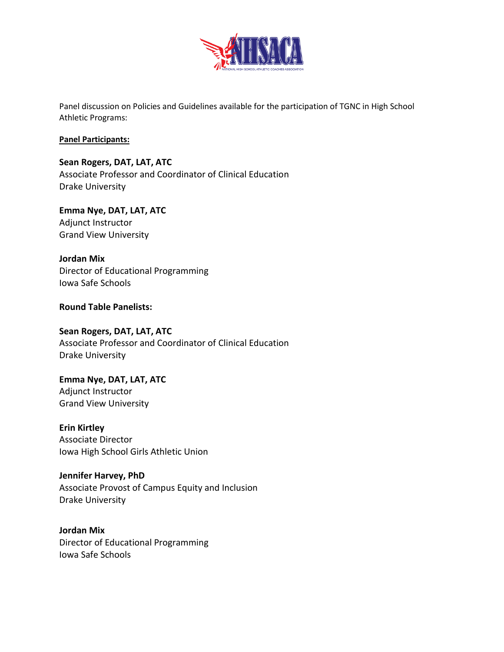

Panel discussion on Policies and Guidelines available for the participation of TGNC in High School Athletic Programs:

### **Panel Participants:**

# **Sean Rogers, DAT, LAT, ATC**

Associate Professor and Coordinator of Clinical Education Drake University

# **Emma Nye, DAT, LAT, ATC** Adjunct Instructor

Grand View University

# **Jordan Mix**

Director of Educational Programming Iowa Safe Schools

### **Round Table Panelists:**

### **Sean Rogers, DAT, LAT, ATC**

Associate Professor and Coordinator of Clinical Education Drake University

# **Emma Nye, DAT, LAT, ATC**

Adjunct Instructor Grand View University

# **Erin Kirtley**

Associate Director Iowa High School Girls Athletic Union

# **Jennifer Harvey, PhD**

Associate Provost of Campus Equity and Inclusion Drake University

# **Jordan Mix** Director of Educational Programming Iowa Safe Schools